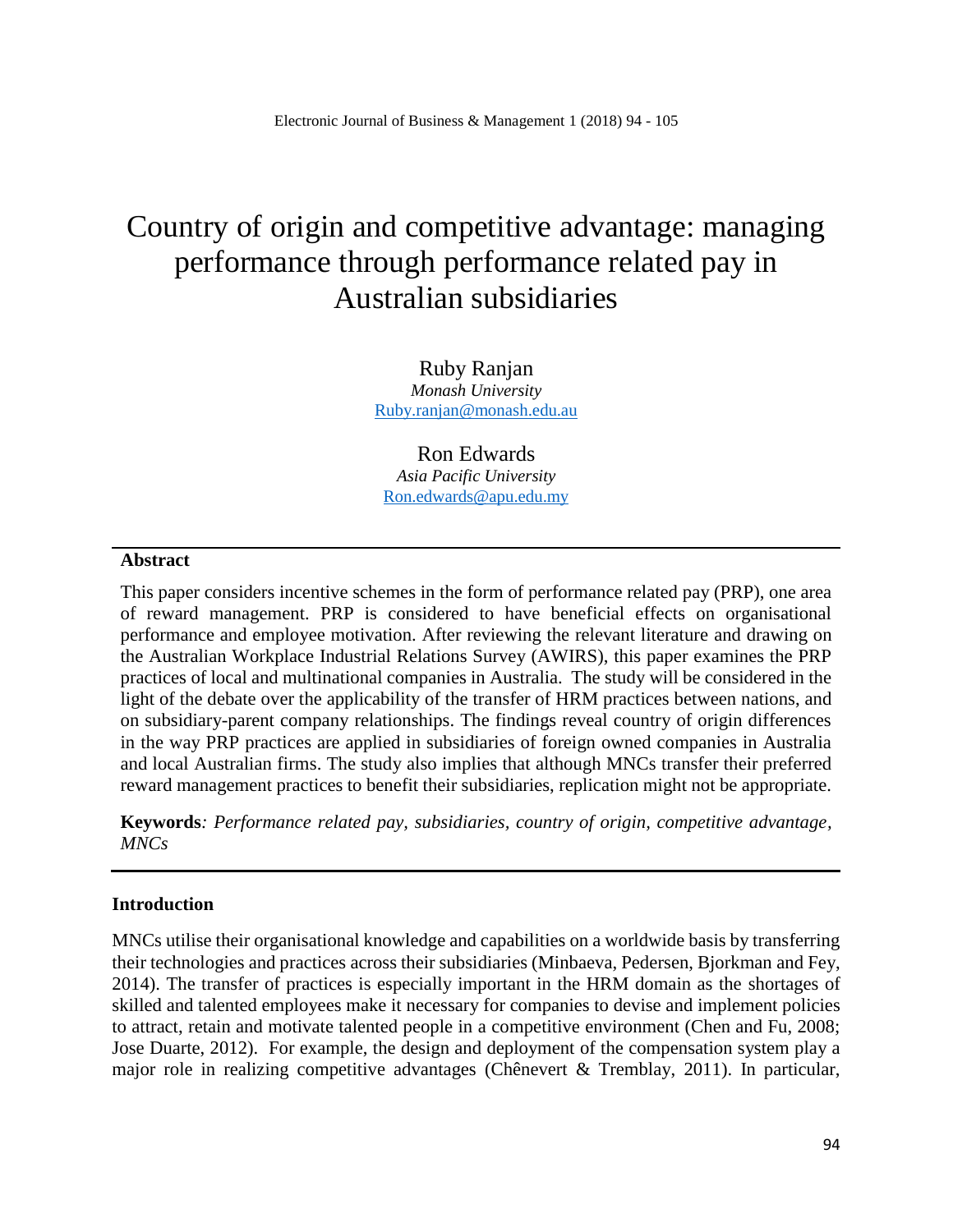# Country of origin and competitive advantage: managing performance through performance related pay in Australian subsidiaries

Ruby Ranjan *Monash University* [Ruby.ranjan@monash.edu.au](mailto:Ruby.ranjan@monash.edu.au)

Ron Edwards *Asia Pacific University* [Ron.edwards@apu.edu.my](mailto:Ron.edwards@apu.edu.my)

#### **Abstract**

This paper considers incentive schemes in the form of performance related pay (PRP), one area of reward management. PRP is considered to have beneficial effects on organisational performance and employee motivation. After reviewing the relevant literature and drawing on the Australian Workplace Industrial Relations Survey (AWIRS), this paper examines the PRP practices of local and multinational companies in Australia. The study will be considered in the light of the debate over the applicability of the transfer of HRM practices between nations, and on subsidiary-parent company relationships. The findings reveal country of origin differences in the way PRP practices are applied in subsidiaries of foreign owned companies in Australia and local Australian firms. The study also implies that although MNCs transfer their preferred reward management practices to benefit their subsidiaries, replication might not be appropriate.

**Keywords***: Performance related pay, subsidiaries, country of origin, competitive advantage, MNCs*

#### **Introduction**

MNCs utilise their organisational knowledge and capabilities on a worldwide basis by transferring their technologies and practices across their subsidiaries (Minbaeva, Pedersen, Bjorkman and Fey, 2014). The transfer of practices is especially important in the HRM domain as the shortages of skilled and talented employees make it necessary for companies to devise and implement policies to attract, retain and motivate talented people in a competitive environment (Chen and Fu, 2008; Jose Duarte, 2012). For example, the design and deployment of the compensation system play a major role in realizing competitive advantages (Chênevert & Tremblay, 2011). In particular,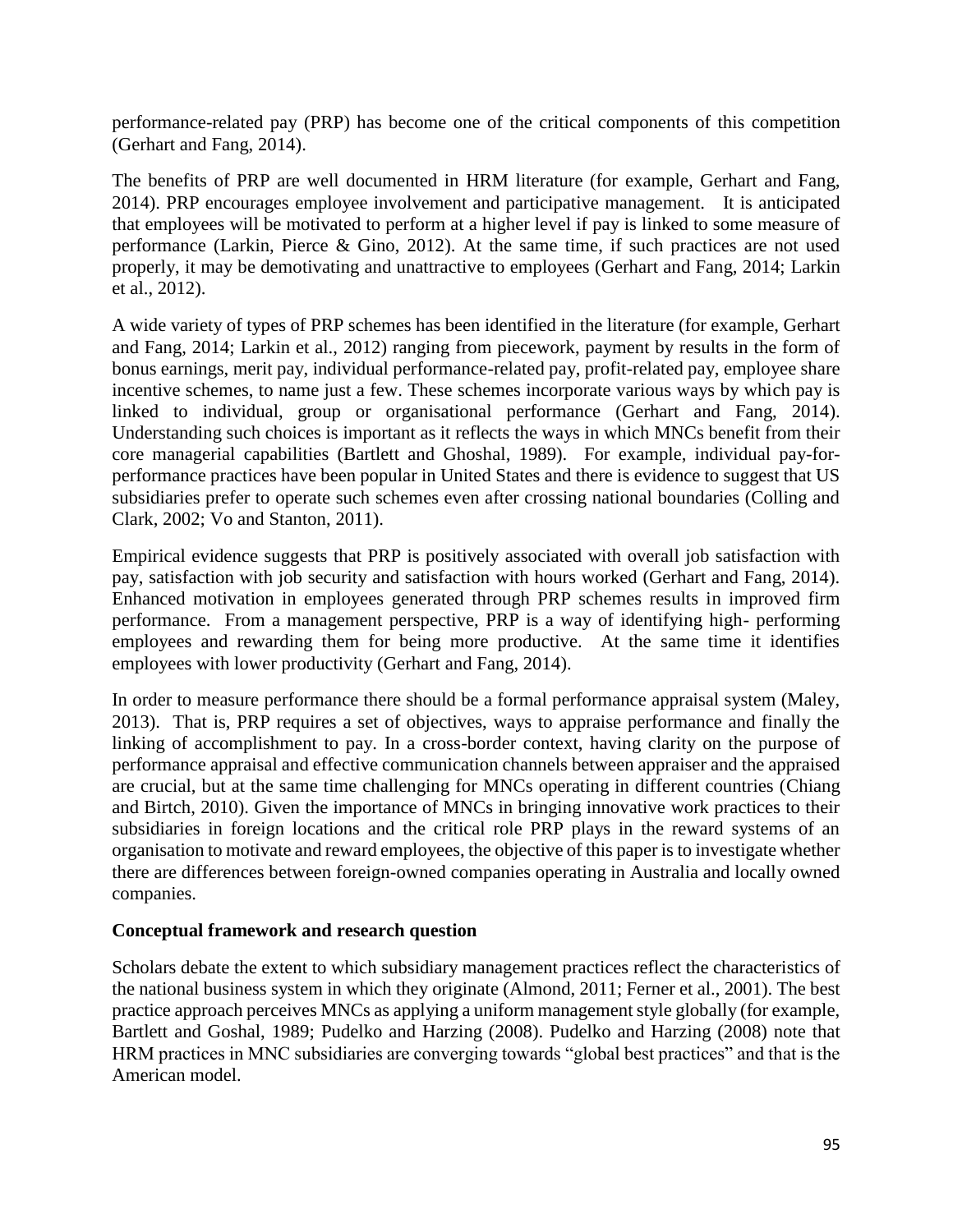performance-related pay (PRP) has become one of the critical components of this competition (Gerhart and Fang, 2014).

The benefits of PRP are well documented in HRM literature (for example, Gerhart and Fang, 2014). PRP encourages employee involvement and participative management. It is anticipated that employees will be motivated to perform at a higher level if pay is linked to some measure of performance (Larkin, Pierce & Gino, 2012). At the same time, if such practices are not used properly, it may be demotivating and unattractive to employees (Gerhart and Fang, 2014; Larkin et al., 2012).

A wide variety of types of PRP schemes has been identified in the literature (for example, Gerhart and Fang, 2014; Larkin et al., 2012) ranging from piecework, payment by results in the form of bonus earnings, merit pay, individual performance-related pay, profit-related pay, employee share incentive schemes, to name just a few. These schemes incorporate various ways by which pay is linked to individual, group or organisational performance (Gerhart and Fang, 2014). Understanding such choices is important as it reflects the ways in which MNCs benefit from their core managerial capabilities (Bartlett and Ghoshal, 1989). For example, individual pay-forperformance practices have been popular in United States and there is evidence to suggest that US subsidiaries prefer to operate such schemes even after crossing national boundaries (Colling and Clark, 2002; Vo and Stanton, 2011).

Empirical evidence suggests that PRP is positively associated with overall job satisfaction with pay, satisfaction with job security and satisfaction with hours worked (Gerhart and Fang, 2014). Enhanced motivation in employees generated through PRP schemes results in improved firm performance. From a management perspective, PRP is a way of identifying high- performing employees and rewarding them for being more productive. At the same time it identifies employees with lower productivity (Gerhart and Fang, 2014).

In order to measure performance there should be a formal performance appraisal system (Maley, 2013). That is, PRP requires a set of objectives, ways to appraise performance and finally the linking of accomplishment to pay. In a cross-border context, having clarity on the purpose of performance appraisal and effective communication channels between appraiser and the appraised are crucial, but at the same time challenging for MNCs operating in different countries (Chiang and Birtch, 2010). Given the importance of MNCs in bringing innovative work practices to their subsidiaries in foreign locations and the critical role PRP plays in the reward systems of an organisation to motivate and reward employees, the objective of this paper is to investigate whether there are differences between foreign-owned companies operating in Australia and locally owned companies.

#### **Conceptual framework and research question**

Scholars debate the extent to which subsidiary management practices reflect the characteristics of the national business system in which they originate (Almond, 2011; Ferner et al., 2001). The best practice approach perceives MNCs as applying a uniform management style globally (for example, Bartlett and Goshal, 1989; Pudelko and Harzing (2008). Pudelko and Harzing (2008) note that HRM practices in MNC subsidiaries are converging towards "global best practices" and that is the American model.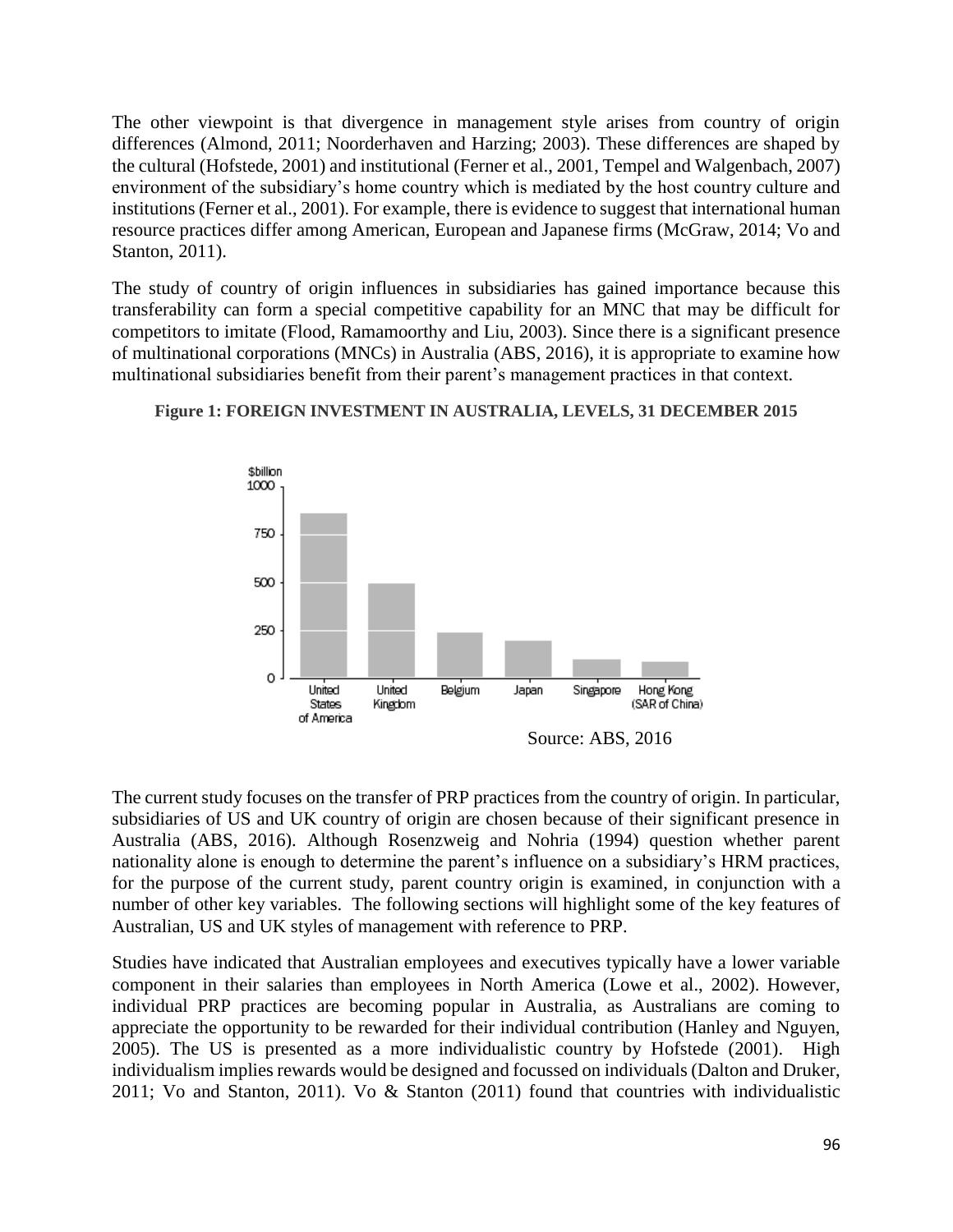The other viewpoint is that divergence in management style arises from country of origin differences (Almond, 2011; Noorderhaven and Harzing; 2003). These differences are shaped by the cultural (Hofstede, 2001) and institutional (Ferner et al., 2001, Tempel and Walgenbach, 2007) environment of the subsidiary's home country which is mediated by the host country culture and institutions (Ferner et al., 2001). For example, there is evidence to suggest that international human resource practices differ among American, European and Japanese firms (McGraw, 2014; Vo and Stanton, 2011).

The study of country of origin influences in subsidiaries has gained importance because this transferability can form a special competitive capability for an MNC that may be difficult for competitors to imitate (Flood, Ramamoorthy and Liu, 2003). Since there is a significant presence of multinational corporations (MNCs) in Australia (ABS, 2016), it is appropriate to examine how multinational subsidiaries benefit from their parent's management practices in that context.



#### **Figure 1: FOREIGN INVESTMENT IN AUSTRALIA, LEVELS, 31 DECEMBER 2015**

The current study focuses on the transfer of PRP practices from the country of origin. In particular, subsidiaries of US and UK country of origin are chosen because of their significant presence in Australia (ABS, 2016). Although Rosenzweig and Nohria (1994) question whether parent nationality alone is enough to determine the parent's influence on a subsidiary's HRM practices, for the purpose of the current study, parent country origin is examined, in conjunction with a number of other key variables. The following sections will highlight some of the key features of Australian, US and UK styles of management with reference to PRP.

Studies have indicated that Australian employees and executives typically have a lower variable component in their salaries than employees in North America (Lowe et al., 2002). However, individual PRP practices are becoming popular in Australia, as Australians are coming to appreciate the opportunity to be rewarded for their individual contribution (Hanley and Nguyen, 2005). The US is presented as a more individualistic country by Hofstede (2001). High individualism implies rewards would be designed and focussed on individuals (Dalton and Druker, 2011; Vo and Stanton, 2011). Vo & Stanton (2011) found that countries with individualistic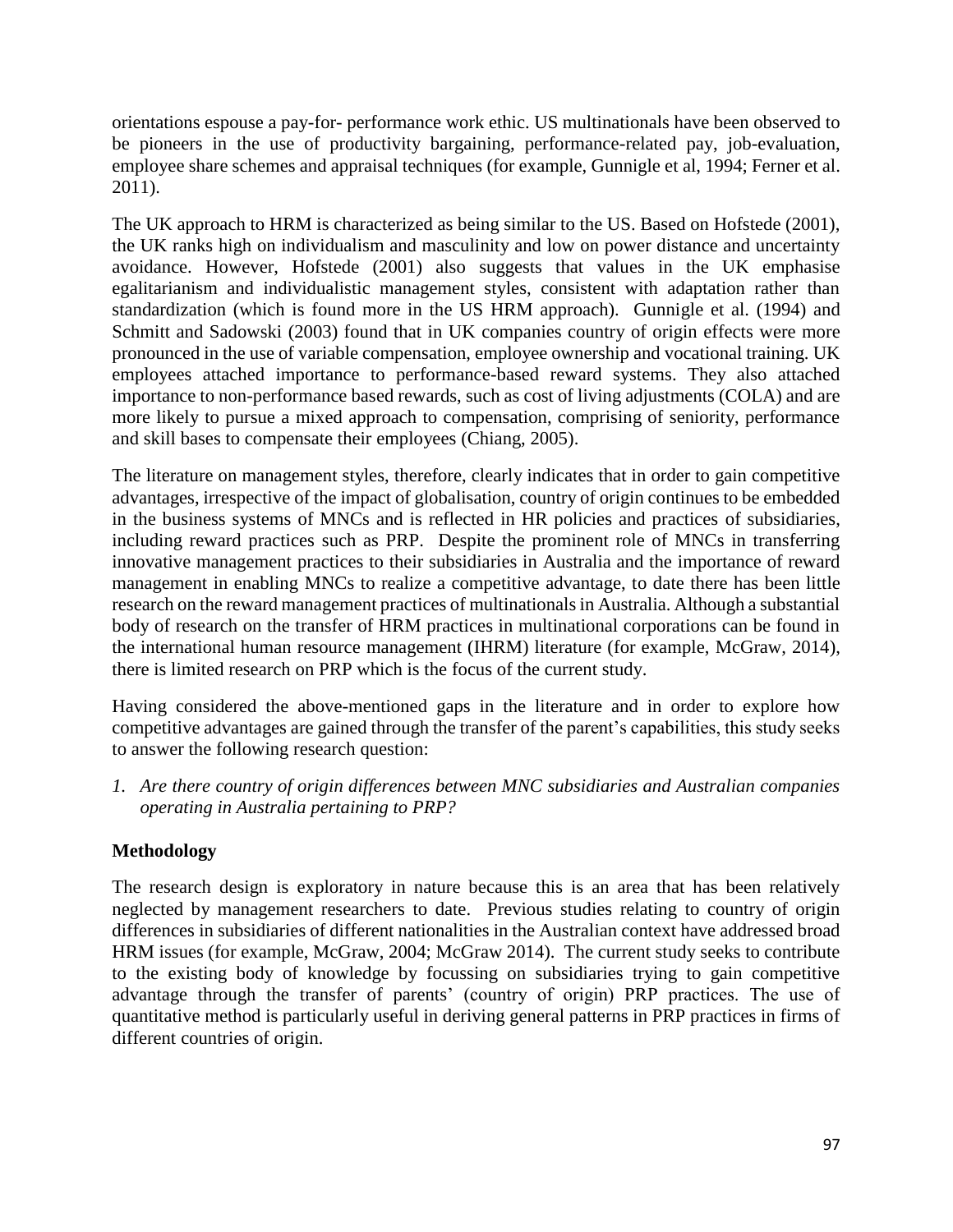orientations espouse a pay-for- performance work ethic. US multinationals have been observed to be pioneers in the use of productivity bargaining, performance-related pay, job-evaluation, employee share schemes and appraisal techniques (for example, Gunnigle et al, 1994; Ferner et al. 2011).

The UK approach to HRM is characterized as being similar to the US. Based on Hofstede (2001), the UK ranks high on individualism and masculinity and low on power distance and uncertainty avoidance. However, Hofstede (2001) also suggests that values in the UK emphasise egalitarianism and individualistic management styles, consistent with adaptation rather than standardization (which is found more in the US HRM approach). Gunnigle et al. (1994) and Schmitt and Sadowski (2003) found that in UK companies country of origin effects were more pronounced in the use of variable compensation, employee ownership and vocational training. UK employees attached importance to performance-based reward systems. They also attached importance to non-performance based rewards, such as cost of living adjustments (COLA) and are more likely to pursue a mixed approach to compensation, comprising of seniority, performance and skill bases to compensate their employees (Chiang, 2005).

The literature on management styles, therefore, clearly indicates that in order to gain competitive advantages, irrespective of the impact of globalisation, country of origin continues to be embedded in the business systems of MNCs and is reflected in HR policies and practices of subsidiaries, including reward practices such as PRP. Despite the prominent role of MNCs in transferring innovative management practices to their subsidiaries in Australia and the importance of reward management in enabling MNCs to realize a competitive advantage, to date there has been little research on the reward management practices of multinationals in Australia. Although a substantial body of research on the transfer of HRM practices in multinational corporations can be found in the international human resource management (IHRM) literature (for example, McGraw, 2014), there is limited research on PRP which is the focus of the current study.

Having considered the above-mentioned gaps in the literature and in order to explore how competitive advantages are gained through the transfer of the parent's capabilities, this study seeks to answer the following research question:

*1. Are there country of origin differences between MNC subsidiaries and Australian companies operating in Australia pertaining to PRP?*

# **Methodology**

The research design is exploratory in nature because this is an area that has been relatively neglected by management researchers to date. Previous studies relating to country of origin differences in subsidiaries of different nationalities in the Australian context have addressed broad HRM issues (for example, McGraw, 2004; McGraw 2014). The current study seeks to contribute to the existing body of knowledge by focussing on subsidiaries trying to gain competitive advantage through the transfer of parents' (country of origin) PRP practices. The use of quantitative method is particularly useful in deriving general patterns in PRP practices in firms of different countries of origin.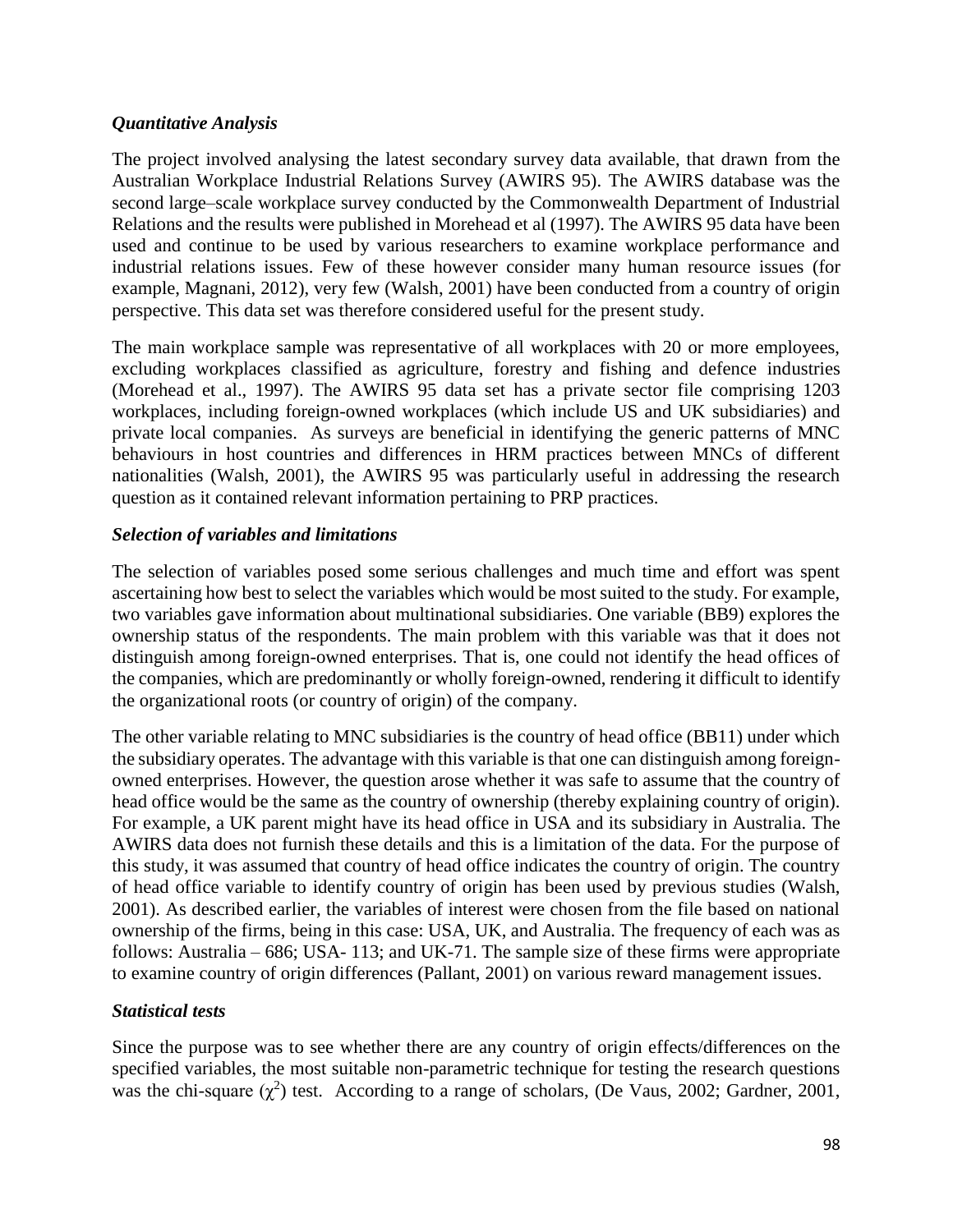## *Quantitative Analysis*

The project involved analysing the latest secondary survey data available, that drawn from the Australian Workplace Industrial Relations Survey (AWIRS 95). The AWIRS database was the second large–scale workplace survey conducted by the Commonwealth Department of Industrial Relations and the results were published in Morehead et al (1997). The AWIRS 95 data have been used and continue to be used by various researchers to examine workplace performance and industrial relations issues. Few of these however consider many human resource issues (for example, Magnani, 2012), very few (Walsh, 2001) have been conducted from a country of origin perspective. This data set was therefore considered useful for the present study.

The main workplace sample was representative of all workplaces with 20 or more employees, excluding workplaces classified as agriculture, forestry and fishing and defence industries (Morehead et al., 1997). The AWIRS 95 data set has a private sector file comprising 1203 workplaces, including foreign-owned workplaces (which include US and UK subsidiaries) and private local companies. As surveys are beneficial in identifying the generic patterns of MNC behaviours in host countries and differences in HRM practices between MNCs of different nationalities (Walsh, 2001), the AWIRS 95 was particularly useful in addressing the research question as it contained relevant information pertaining to PRP practices.

## *Selection of variables and limitations*

The selection of variables posed some serious challenges and much time and effort was spent ascertaining how best to select the variables which would be most suited to the study. For example, two variables gave information about multinational subsidiaries. One variable (BB9) explores the ownership status of the respondents. The main problem with this variable was that it does not distinguish among foreign-owned enterprises. That is, one could not identify the head offices of the companies, which are predominantly or wholly foreign-owned, rendering it difficult to identify the organizational roots (or country of origin) of the company.

The other variable relating to MNC subsidiaries is the country of head office (BB11) under which the subsidiary operates. The advantage with this variable is that one can distinguish among foreignowned enterprises. However, the question arose whether it was safe to assume that the country of head office would be the same as the country of ownership (thereby explaining country of origin). For example, a UK parent might have its head office in USA and its subsidiary in Australia. The AWIRS data does not furnish these details and this is a limitation of the data. For the purpose of this study, it was assumed that country of head office indicates the country of origin. The country of head office variable to identify country of origin has been used by previous studies (Walsh, 2001). As described earlier, the variables of interest were chosen from the file based on national ownership of the firms, being in this case: USA, UK, and Australia. The frequency of each was as follows: Australia – 686; USA- 113; and UK-71. The sample size of these firms were appropriate to examine country of origin differences (Pallant, 2001) on various reward management issues.

#### *Statistical tests*

Since the purpose was to see whether there are any country of origin effects/differences on the specified variables, the most suitable non-parametric technique for testing the research questions was the chi-square  $(\chi^2)$  test. According to a range of scholars, (De Vaus, 2002; Gardner, 2001,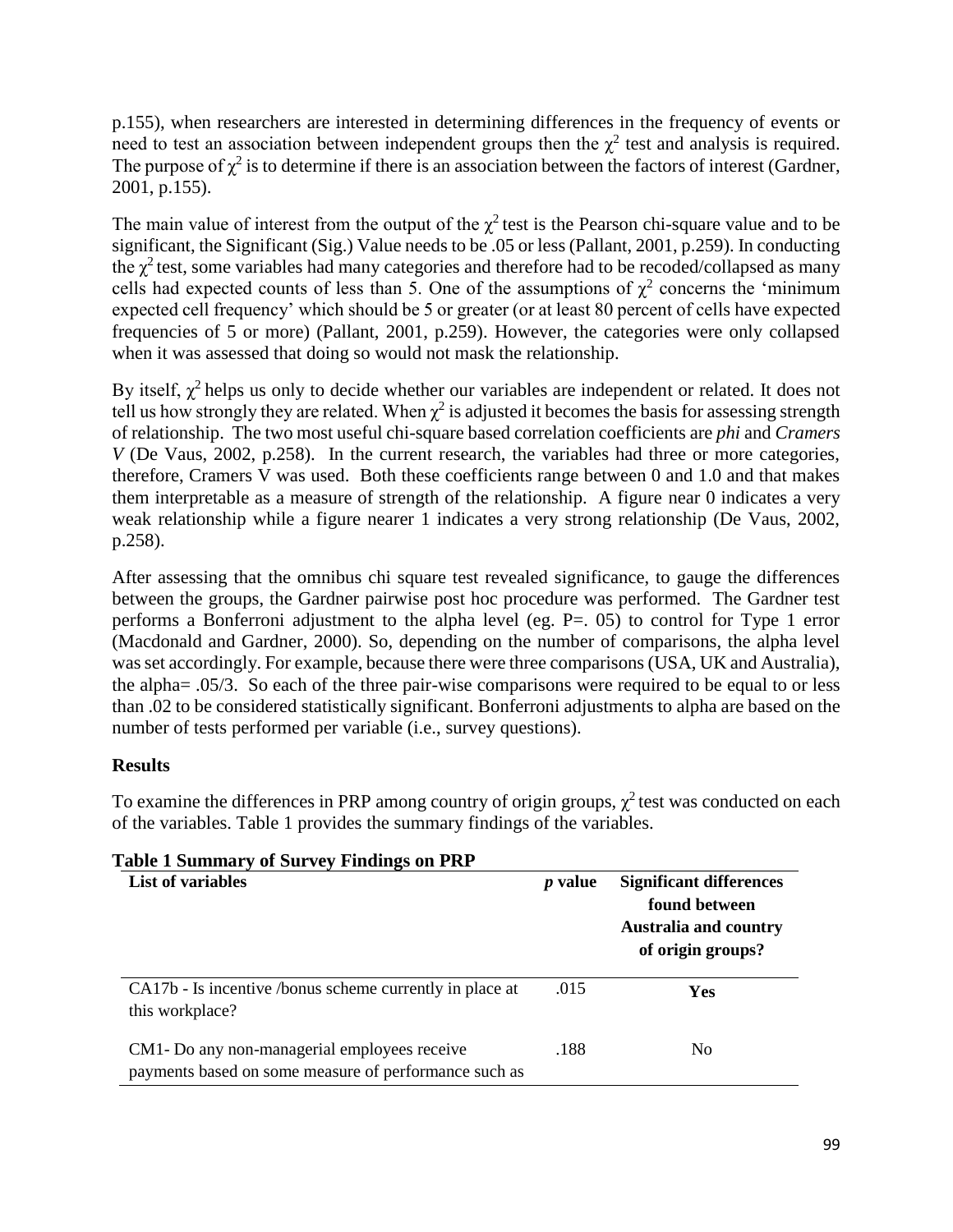p.155), when researchers are interested in determining differences in the frequency of events or need to test an association between independent groups then the  $\chi^2$  test and analysis is required. The purpose of  $\chi^2$  is to determine if there is an association between the factors of interest (Gardner, 2001, p.155).

The main value of interest from the output of the  $\chi^2$  test is the Pearson chi-square value and to be significant, the Significant (Sig.) Value needs to be .05 or less (Pallant, 2001, p.259). In conducting the  $\chi^2$  test, some variables had many categories and therefore had to be recoded/collapsed as many cells had expected counts of less than 5. One of the assumptions of  $\chi^2$  concerns the 'minimum expected cell frequency' which should be 5 or greater (or at least 80 percent of cells have expected frequencies of 5 or more) (Pallant, 2001, p.259). However, the categories were only collapsed when it was assessed that doing so would not mask the relationship.

By itself,  $\chi^2$  helps us only to decide whether our variables are independent or related. It does not tell us how strongly they are related. When  $\chi^2$  is adjusted it becomes the basis for assessing strength of relationship. The two most useful chi-square based correlation coefficients are *phi* and *Cramers V* (De Vaus, 2002, p.258). In the current research, the variables had three or more categories, therefore, Cramers V was used. Both these coefficients range between 0 and 1.0 and that makes them interpretable as a measure of strength of the relationship. A figure near 0 indicates a very weak relationship while a figure nearer 1 indicates a very strong relationship (De Vaus, 2002, p.258).

After assessing that the omnibus chi square test revealed significance, to gauge the differences between the groups, the Gardner pairwise post hoc procedure was performed. The Gardner test performs a Bonferroni adjustment to the alpha level (eg. P=. 05) to control for Type 1 error (Macdonald and Gardner, 2000). So, depending on the number of comparisons, the alpha level was set accordingly. For example, because there were three comparisons (USA, UK and Australia), the alpha= .05/3. So each of the three pair-wise comparisons were required to be equal to or less than .02 to be considered statistically significant. Bonferroni adjustments to alpha are based on the number of tests performed per variable (i.e., survey questions).

## **Results**

To examine the differences in PRP among country of origin groups,  $\chi^2$  test was conducted on each of the variables. Table 1 provides the summary findings of the variables.

| <b>List of variables</b>                                                                               | <i>p</i> value | <b>Significant differences</b><br>found between<br><b>Australia and country</b><br>of origin groups? |
|--------------------------------------------------------------------------------------------------------|----------------|------------------------------------------------------------------------------------------------------|
| CA17b - Is incentive /bonus scheme currently in place at<br>this workplace?                            | .015           | Yes                                                                                                  |
| CM1 - Do any non-managerial employees receive<br>payments based on some measure of performance such as | .188           | N <sub>0</sub>                                                                                       |

# **Table 1 Summary of Survey Findings on PRP**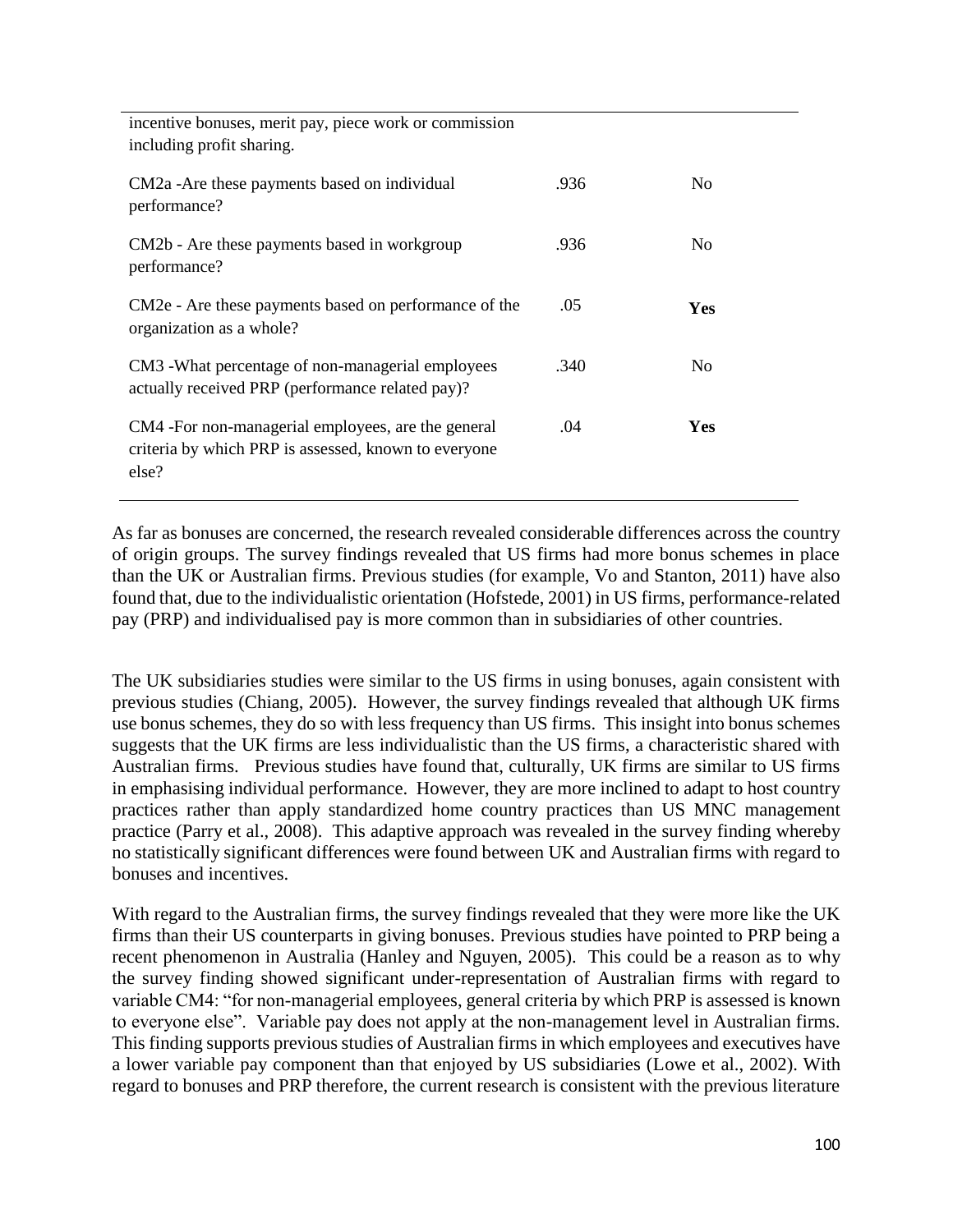| incentive bonuses, merit pay, piece work or commission<br>including profit sharing.                                 |      |                |
|---------------------------------------------------------------------------------------------------------------------|------|----------------|
| CM2a -Are these payments based on individual<br>performance?                                                        | .936 | No.            |
| CM2b - Are these payments based in workgroup<br>performance?                                                        | .936 | N <sub>0</sub> |
| CM2e - Are these payments based on performance of the<br>organization as a whole?                                   | .05  | <b>Yes</b>     |
| CM3 - What percentage of non-managerial employees<br>actually received PRP (performance related pay)?               | .340 | N <sub>0</sub> |
| CM4 -For non-managerial employees, are the general<br>criteria by which PRP is assessed, known to everyone<br>else? | .04  | <b>Yes</b>     |

As far as bonuses are concerned, the research revealed considerable differences across the country of origin groups. The survey findings revealed that US firms had more bonus schemes in place than the UK or Australian firms. Previous studies (for example, Vo and Stanton, 2011) have also found that, due to the individualistic orientation (Hofstede, 2001) in US firms, performance-related pay (PRP) and individualised pay is more common than in subsidiaries of other countries.

The UK subsidiaries studies were similar to the US firms in using bonuses, again consistent with previous studies (Chiang, 2005). However, the survey findings revealed that although UK firms use bonus schemes, they do so with less frequency than US firms. This insight into bonus schemes suggests that the UK firms are less individualistic than the US firms, a characteristic shared with Australian firms. Previous studies have found that, culturally, UK firms are similar to US firms in emphasising individual performance. However, they are more inclined to adapt to host country practices rather than apply standardized home country practices than US MNC management practice (Parry et al., 2008). This adaptive approach was revealed in the survey finding whereby no statistically significant differences were found between UK and Australian firms with regard to bonuses and incentives.

With regard to the Australian firms, the survey findings revealed that they were more like the UK firms than their US counterparts in giving bonuses. Previous studies have pointed to PRP being a recent phenomenon in Australia (Hanley and Nguyen, 2005). This could be a reason as to why the survey finding showed significant under-representation of Australian firms with regard to variable CM4: "for non-managerial employees, general criteria by which PRP is assessed is known to everyone else". Variable pay does not apply at the non-management level in Australian firms. This finding supports previous studies of Australian firms in which employees and executives have a lower variable pay component than that enjoyed by US subsidiaries (Lowe et al., 2002). With regard to bonuses and PRP therefore, the current research is consistent with the previous literature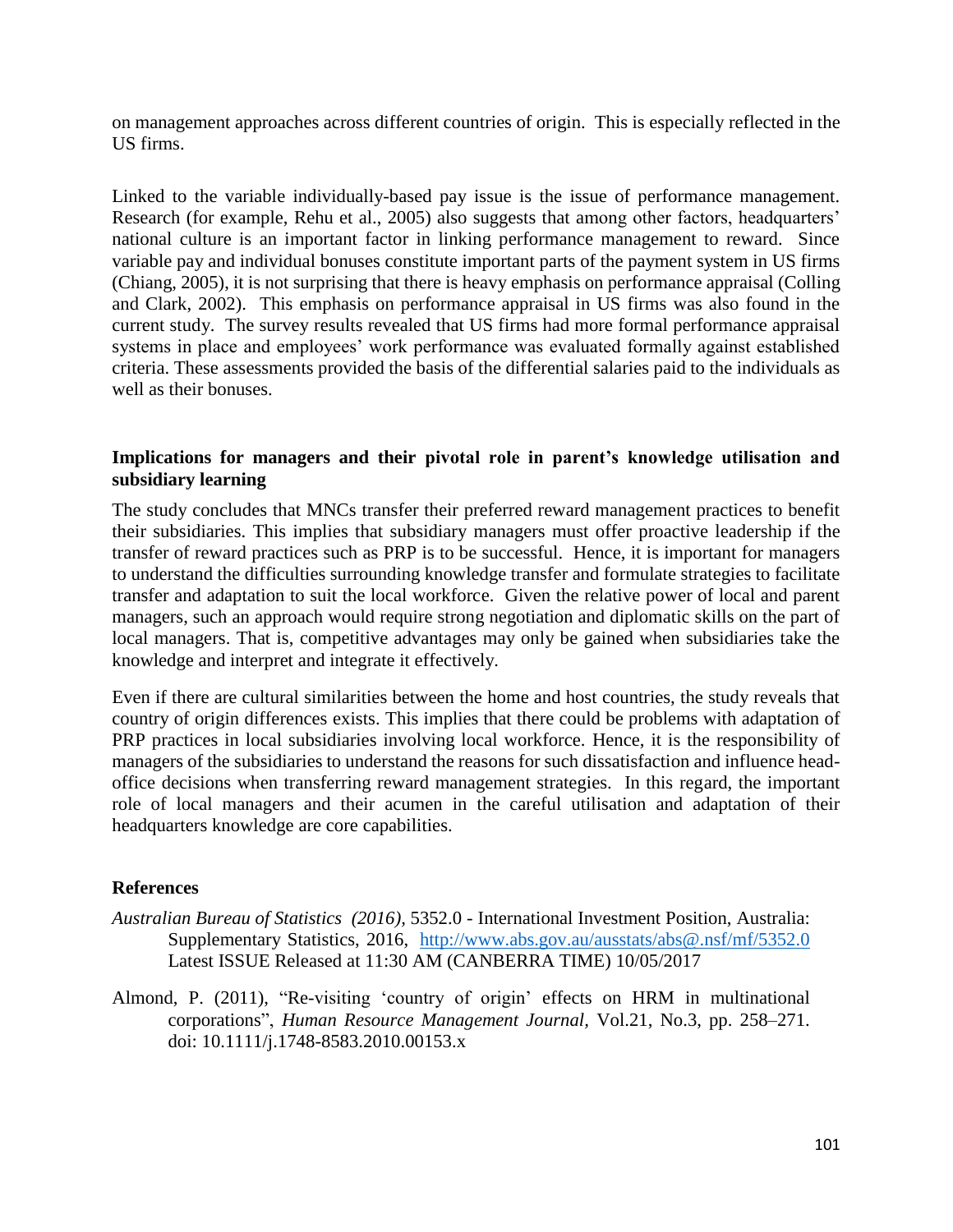on management approaches across different countries of origin. This is especially reflected in the US firms.

Linked to the variable individually-based pay issue is the issue of performance management. Research (for example, Rehu et al., 2005) also suggests that among other factors, headquarters' national culture is an important factor in linking performance management to reward. Since variable pay and individual bonuses constitute important parts of the payment system in US firms (Chiang, 2005), it is not surprising that there is heavy emphasis on performance appraisal (Colling and Clark, 2002). This emphasis on performance appraisal in US firms was also found in the current study. The survey results revealed that US firms had more formal performance appraisal systems in place and employees' work performance was evaluated formally against established criteria. These assessments provided the basis of the differential salaries paid to the individuals as well as their bonuses.

## **Implications for managers and their pivotal role in parent's knowledge utilisation and subsidiary learning**

The study concludes that MNCs transfer their preferred reward management practices to benefit their subsidiaries. This implies that subsidiary managers must offer proactive leadership if the transfer of reward practices such as PRP is to be successful. Hence, it is important for managers to understand the difficulties surrounding knowledge transfer and formulate strategies to facilitate transfer and adaptation to suit the local workforce. Given the relative power of local and parent managers, such an approach would require strong negotiation and diplomatic skills on the part of local managers. That is, competitive advantages may only be gained when subsidiaries take the knowledge and interpret and integrate it effectively.

Even if there are cultural similarities between the home and host countries, the study reveals that country of origin differences exists. This implies that there could be problems with adaptation of PRP practices in local subsidiaries involving local workforce. Hence, it is the responsibility of managers of the subsidiaries to understand the reasons for such dissatisfaction and influence headoffice decisions when transferring reward management strategies. In this regard, the important role of local managers and their acumen in the careful utilisation and adaptation of their headquarters knowledge are core capabilities.

#### **References**

- *Australian Bureau of Statistics (2016),* 5352.0 International Investment Position, Australia: Supplementary Statistics, 2016, <http://www.abs.gov.au/ausstats/abs@.nsf/mf/5352.0> Latest ISSUE Released at 11:30 AM (CANBERRA TIME) 10/05/2017
- Almond, P. (2011), "Re-visiting 'country of origin' effects on HRM in multinational corporations", *Human Resource Management Journal,* Vol.21, No.3, pp. 258–271. doi: 10.1111/j.1748-8583.2010.00153.x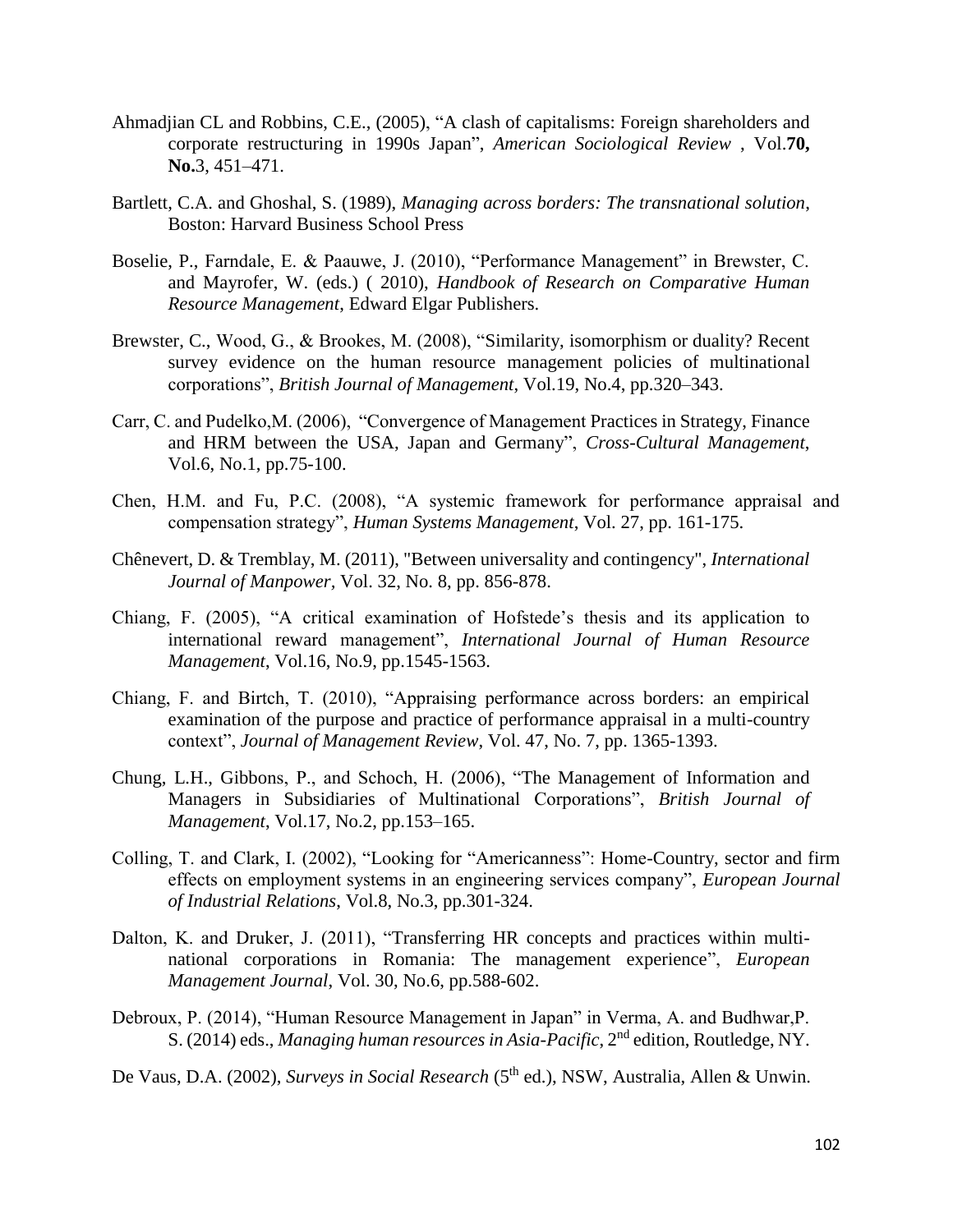- Ahmadjian CL and Robbins, C.E., (2005), "A clash of capitalisms: Foreign shareholders and corporate restructuring in 1990s Japan", *American Sociological Review* , Vol.**70, No.**3, 451–471.
- Bartlett, C.A. and Ghoshal, S. (1989), *Managing across borders: The transnational solution*, Boston: Harvard Business School Press
- Boselie, P., Farndale, E. & Paauwe, J. (2010), "Performance Management" in Brewster, C. and Mayrofer, W. (eds.) ( 2010), *Handbook of Research on Comparative Human Resource Management*, Edward Elgar Publishers.
- Brewster, C., Wood, G., & Brookes, M. (2008), "Similarity, isomorphism or duality? Recent survey evidence on the human resource management policies of multinational corporations", *British Journal of Management*, Vol.19, No.4, pp.320–343.
- Carr, C. and Pudelko,M. (2006), "Convergence of Management Practices in Strategy, Finance and HRM between the USA, Japan and Germany", *Cross-Cultural Management*, Vol.6, No.1, pp.75-100.
- Chen, H.M. and Fu, P.C. (2008), "A systemic framework for performance appraisal and compensation strategy", *Human Systems Management*, Vol. 27, pp. 161-175.
- Chênevert, D. & Tremblay, M. (2011), "Between universality and contingency", *International Journal of Manpower,* Vol. 32, No. 8, pp. 856-878.
- Chiang, F. (2005), "A critical examination of Hofstede's thesis and its application to international reward management", *International Journal of Human Resource Management*, Vol.16, No.9, pp.1545-1563.
- Chiang, F. and Birtch, T. (2010), "Appraising performance across borders: an empirical examination of the purpose and practice of performance appraisal in a multi-country context", *Journal of Management Review*, Vol. 47, No. 7, pp. 1365-1393.
- Chung, L.H., Gibbons, P., and Schoch, H. (2006), "The Management of Information and Managers in Subsidiaries of Multinational Corporations", *British Journal of Management*, Vol.17, No.2, pp.153–165.
- Colling, T. and Clark, I. (2002), "Looking for "Americanness": Home-Country, sector and firm effects on employment systems in an engineering services company", *European Journal of Industrial Relations*, Vol.8, No.3, pp.301-324.
- Dalton, K. and Druker, J. (2011), "Transferring HR concepts and practices within multinational corporations in Romania: The management experience", *European Management Journal*, Vol. 30, No.6, pp.588-602.
- Debroux, P. (2014), "Human Resource Management in Japan" in Verma, A. and Budhwar,P. S. (2014) eds., *Managing human resources in Asia-Pacific*, 2nd edition, Routledge, NY.
- De Vaus, D.A. (2002), *Surveys in Social Research* (5<sup>th</sup> ed.), NSW, Australia, Allen & Unwin.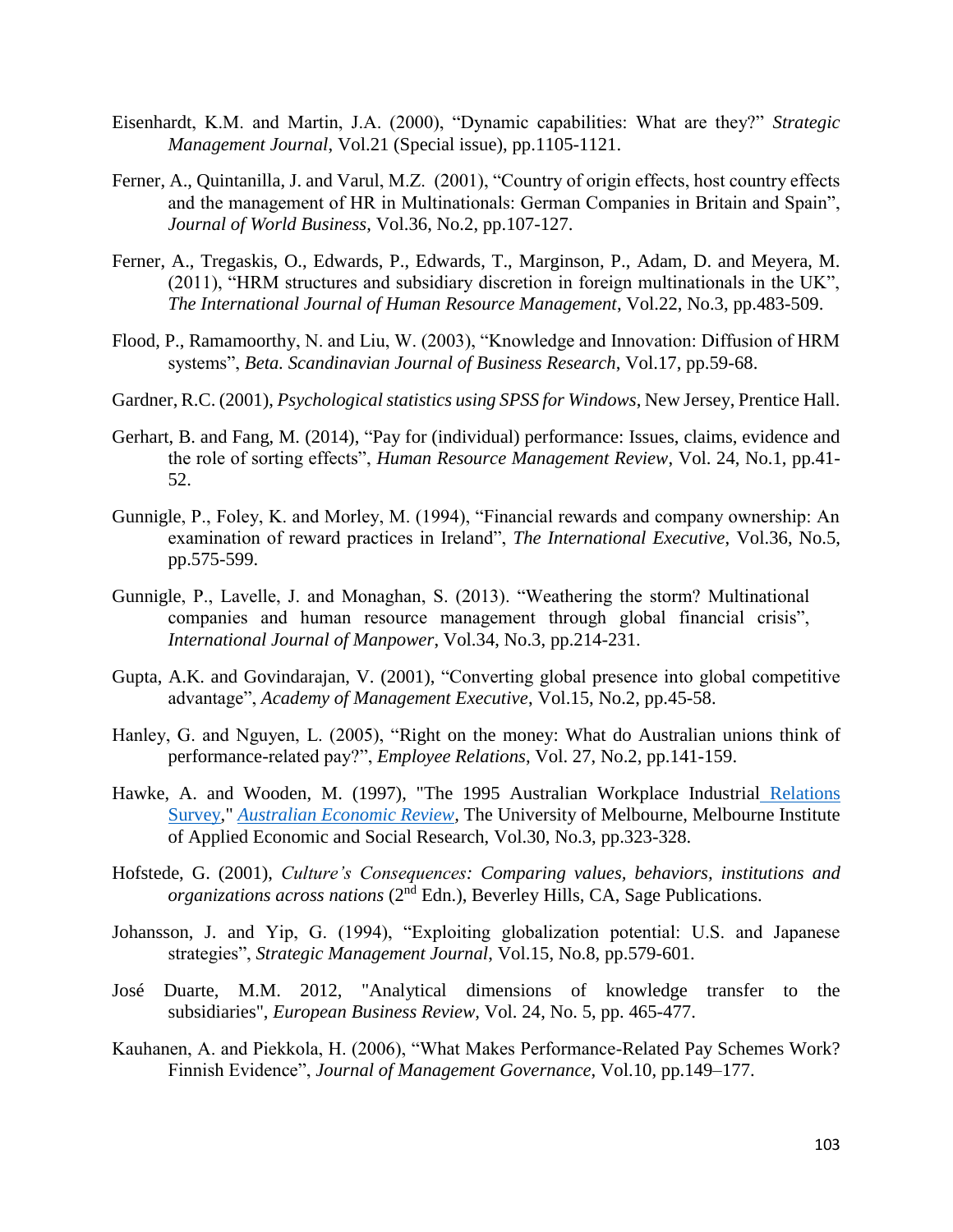- Eisenhardt, K.M. and Martin, J.A. (2000), "Dynamic capabilities: What are they?" *Strategic Management Journal*, Vol.21 (Special issue), pp.1105-1121.
- Ferner, A., Quintanilla, J. and Varul, M.Z. (2001), "Country of origin effects, host country effects and the management of HR in Multinationals: German Companies in Britain and Spain", *Journal of World Business*, Vol.36, No.2, pp.107-127.
- Ferner, A., Tregaskis, O., Edwards, P., Edwards, T., Marginson, P., Adam, D. and Meyera, M. (2011), "HRM structures and subsidiary discretion in foreign multinationals in the UK", *The International Journal of Human Resource Management*, Vol.22, No.3, pp.483-509.
- Flood, P., Ramamoorthy, N. and Liu, W. (2003), "Knowledge and Innovation: Diffusion of HRM systems", *Beta. Scandinavian Journal of Business Research*, Vol.17, pp.59-68.
- Gardner, R.C. (2001), *Psychological statistics using SPSS for Windows*, New Jersey, Prentice Hall.
- Gerhart, B. and Fang, M. (2014), "Pay for (individual) performance: Issues, claims, evidence and the role of sorting effects", *Human Resource Management Review*, Vol. 24, No.1, pp.41- 52.
- Gunnigle, P., Foley, K. and Morley, M. (1994), "Financial rewards and company ownership: An examination of reward practices in Ireland", *The International Executive*, Vol.36, No.5, pp.575-599.
- Gunnigle, P., Lavelle, J. and Monaghan, S. (2013). "Weathering the storm? Multinational companies and human resource management through global financial crisis", *International Journal of Manpower*, Vol.34, No.3, pp.214-231.
- Gupta, A.K. and Govindarajan, V. (2001), "Converting global presence into global competitive advantage", *Academy of Management Executive*, Vol.15, No.2, pp.45-58.
- Hanley, G. and Nguyen, L. (2005), "Right on the money: What do Australian unions think of performance-related pay?", *Employee Relations*, Vol. 27, No.2, pp.141-159.
- Hawke, A. and Wooden, M. (1997), ["The 1995 Australian Workplace Industrial](http://ideas.repec.org/a/bla/ausecr/v30y1997i3p323-328.html) Relations [Survey,](http://ideas.repec.org/a/bla/ausecr/v30y1997i3p323-328.html)" *[Australian Economic Review,](http://ideas.repec.org/s/bla/ausecr.html)* The University of Melbourne, Melbourne Institute of Applied Economic and Social Research, Vol.30, No.3, pp.323-328.
- Hofstede, G. (2001), *Culture's Consequences: Comparing values, behaviors, institutions and*  organizations across nations (2<sup>nd</sup> Edn.), Beverley Hills, CA, Sage Publications.
- Johansson, J. and Yip, G. (1994), "Exploiting globalization potential: U.S. and Japanese strategies", *Strategic Management Journal*, Vol.15, No.8, pp.579-601.
- José Duarte, M.M. 2012, "Analytical dimensions of knowledge transfer to the subsidiaries", *European Business Review,* Vol. 24, No. 5, pp. 465-477.
- Kauhanen, A. and Piekkola, H. (2006), "What Makes Performance-Related Pay Schemes Work? Finnish Evidence", *Journal of Management Governance*, Vol.10, pp.149–177.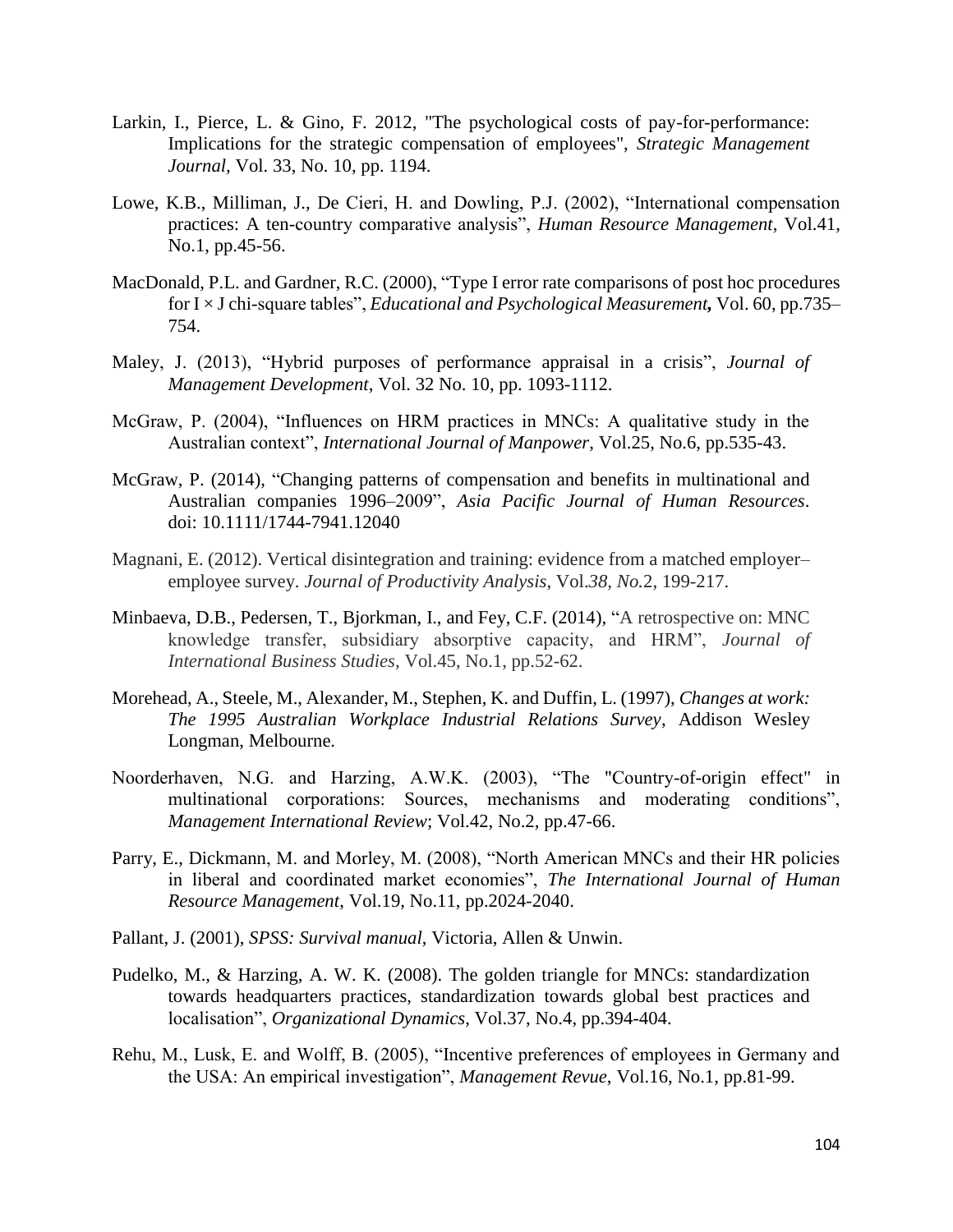- Larkin, I., Pierce, L. & Gino, F. 2012, "The psychological costs of pay-for-performance: Implications for the strategic compensation of employees", *Strategic Management Journal,* Vol. 33, No. 10, pp. 1194.
- Lowe, K.B., Milliman, J., De Cieri, H. and Dowling, P.J. (2002), "International compensation practices: A ten-country comparative analysis", *Human Resource Management*, Vol.41, No.1, pp.45-56.
- MacDonald, P.L. and Gardner, R.C. (2000), "Type I error rate comparisons of post hoc procedures for I × J chi-square tables", *Educational and Psychological Measurement,* Vol. 60, pp.735– 754.
- Maley, J. (2013), "Hybrid purposes of performance appraisal in a crisis", *Journal of Management Development*, Vol. 32 No. 10, pp. 1093-1112.
- McGraw, P. (2004), "Influences on HRM practices in MNCs: A qualitative study in the Australian context", *International Journal of Manpower*, Vol.25, No.6, pp.535-43.
- McGraw, P. (2014), "Changing patterns of compensation and benefits in multinational and Australian companies 1996–2009", *Asia Pacific Journal of Human Resources*. doi: 10.1111/1744-7941.12040
- Magnani, E. (2012). Vertical disintegration and training: evidence from a matched employer– employee survey. *Journal of Productivity Analysis*, Vol.*38, No.*2, 199-217.
- Minbaeva, D.B., Pedersen, T., Bjorkman, I., and Fey, C.F. (2014), "A retrospective on: MNC knowledge transfer, subsidiary absorptive capacity, and HRM", *Journal of International Business Studies*, Vol.45, No.1, pp.52-62.
- Morehead, A., Steele, M., Alexander, M., Stephen, K. and Duffin, L. (1997), *Changes at work: The 1995 Australian Workplace Industrial Relations Survey*, Addison Wesley Longman, Melbourne.
- Noorderhaven, N.G. and Harzing, A.W.K. (2003), "The "Country-of-origin effect" in multinational corporations: Sources, mechanisms and moderating conditions", *Management International Review*; Vol.42, No.2, pp.47-66.
- Parry, E., Dickmann, M. and Morley, M. (2008), "North American MNCs and their HR policies in liberal and coordinated market economies", *The International Journal of Human Resource Management*, Vol.19, No.11, pp.2024-2040.
- Pallant, J. (2001), *SPSS: Survival manual*, Victoria, Allen & Unwin.
- Pudelko, M., & Harzing, A. W. K. (2008). The golden triangle for MNCs: standardization towards headquarters practices, standardization towards global best practices and localisation", *Organizational Dynamics*, Vol.37, No.4, pp.394-404.
- Rehu, M., Lusk, E. and Wolff, B. (2005), "Incentive preferences of employees in Germany and the USA: An empirical investigation", *Management Revue*, Vol.16, No.1, pp.81-99.